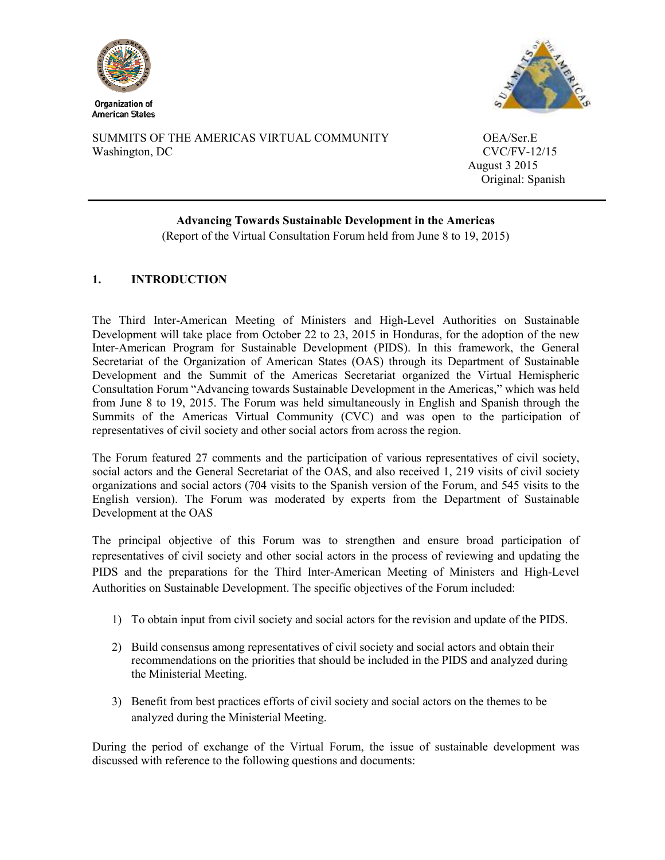



SUMMITS OF THE AMERICAS VIRTUAL COMMUNITY OEA/Ser.E Washington, DC CVC/FV-12/15

 August 3 2015 Original: Spanish

# **Advancing Towards Sustainable Development in the Americas**

(Report of the Virtual Consultation Forum held from June 8 to 19, 2015)

# **1. INTRODUCTION**

The Third Inter-American Meeting of Ministers and High-Level Authorities on Sustainable Development will take place from October 22 to 23, 2015 in Honduras, for the adoption of the new Inter-American Program for Sustainable Development (PIDS). In this framework, the General Secretariat of the Organization of American States (OAS) through its Department of Sustainable Development and the Summit of the Americas Secretariat organized the Virtual Hemispheric Consultation Forum "Advancing towards Sustainable Development in the Americas," which was held from June 8 to 19, 2015. The Forum was held simultaneously in English and Spanish through the Summits of the Americas Virtual Community (CVC) and was open to the participation of representatives of civil society and other social actors from across the region.

The Forum featured 27 comments and the participation of various representatives of civil society, social actors and the General Secretariat of the OAS, and also received 1, 219 visits of civil society organizations and social actors (704 visits to the Spanish version of the Forum, and 545 visits to the English version). The Forum was moderated by experts from the Department of Sustainable Development at the OAS

The principal objective of this Forum was to strengthen and ensure broad participation of representatives of civil society and other social actors in the process of reviewing and updating the PIDS and the preparations for the Third Inter-American Meeting of Ministers and High-Level Authorities on Sustainable Development. The specific objectives of the Forum included:

- 1) To obtain input from civil society and social actors for the revision and update of the PIDS.
- 2) Build consensus among representatives of civil society and social actors and obtain their recommendations on the priorities that should be included in the PIDS and analyzed during the Ministerial Meeting.
- 3) Benefit from best practices efforts of civil society and social actors on the themes to be analyzed during the Ministerial Meeting.

During the period of exchange of the Virtual Forum, the issue of sustainable development was discussed with reference to the following questions and documents: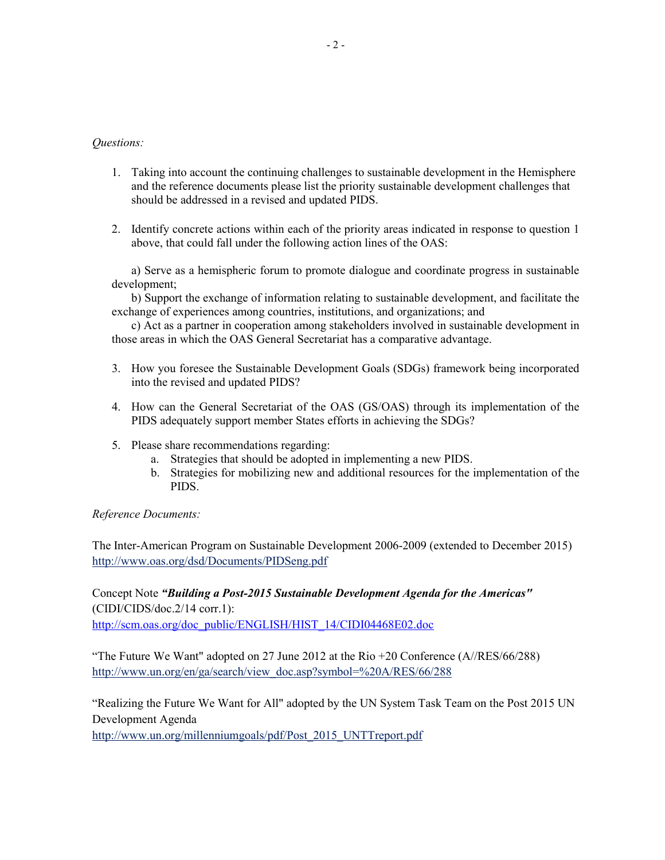- 1. Taking into account the continuing challenges to sustainable development in the Hemisphere and the reference documents please list the priority sustainable development challenges that should be addressed in a revised and updated PIDS.
- 2. Identify concrete actions within each of the priority areas indicated in response to question 1 above, that could fall under the following action lines of the OAS:

 a) Serve as a hemispheric forum to promote dialogue and coordinate progress in sustainable development;

 b) Support the exchange of information relating to sustainable development, and facilitate the exchange of experiences among countries, institutions, and organizations; and

 c) Act as a partner in cooperation among stakeholders involved in sustainable development in those areas in which the OAS General Secretariat has a comparative advantage.

- 3. How you foresee the Sustainable Development Goals (SDGs) framework being incorporated into the revised and updated PIDS?
- 4. How can the General Secretariat of the OAS (GS/OAS) through its implementation of the PIDS adequately support member States efforts in achieving the SDGs?
- 5. Please share recommendations regarding:
	- a. Strategies that should be adopted in implementing a new PIDS.
	- b. Strategies for mobilizing new and additional resources for the implementation of the PIDS.

# *Reference Documents:*

The Inter-American Program on Sustainable Development 2006-2009 (extended to December 2015) http://www.oas.org/dsd/Documents/PIDSeng.pdf

Concept Note *"Building a Post-2015 Sustainable Development Agenda for the Americas"*  (CIDI/CIDS/doc.2/14 corr.1): http://scm.oas.org/doc\_public/ENGLISH/HIST\_14/CIDI04468E02.doc

"The Future We Want" adopted on 27 June 2012 at the Rio +20 Conference (A//RES/66/288) http://www.un.org/en/ga/search/view\_doc.asp?symbol=%20A/RES/66/288

"Realizing the Future We Want for All" adopted by the UN System Task Team on the Post 2015 UN Development Agenda

http://www.un.org/millenniumgoals/pdf/Post\_2015\_UNTTreport.pdf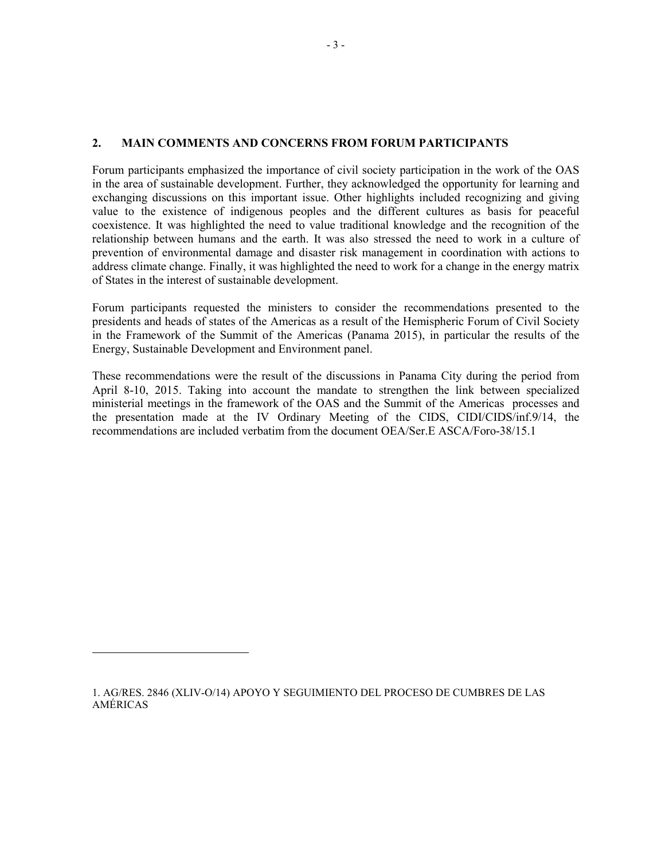# **2. MAIN COMMENTS AND CONCERNS FROM FORUM PARTICIPANTS**

Forum participants emphasized the importance of civil society participation in the work of the OAS in the area of sustainable development. Further, they acknowledged the opportunity for learning and exchanging discussions on this important issue. Other highlights included recognizing and giving value to the existence of indigenous peoples and the different cultures as basis for peaceful coexistence. It was highlighted the need to value traditional knowledge and the recognition of the relationship between humans and the earth. It was also stressed the need to work in a culture of prevention of environmental damage and disaster risk management in coordination with actions to address climate change. Finally, it was highlighted the need to work for a change in the energy matrix of States in the interest of sustainable development.

Forum participants requested the ministers to consider the recommendations presented to the presidents and heads of states of the Americas as a result of the Hemispheric Forum of Civil Society in the Framework of the Summit of the Americas (Panama 2015), in particular the results of the Energy, Sustainable Development and Environment panel.

These recommendations were the result of the discussions in Panama City during the period from April 8-10, 2015. Taking into account the mandate to strengthen the link between specialized ministerial meetings in the framework of the OAS and the Summit of the Americas processes and the presentation made at the IV Ordinary Meeting of the CIDS, CIDI/CIDS/inf.9/14, the recommendations are included verbatim from the document OEA/Ser.E ASCA/Foro-38/15.1

<sup>1.</sup> AG/RES. 2846 (XLIV-O/14) APOYO Y SEGUIMIENTO DEL PROCESO DE CUMBRES DE LAS AMÉRICAS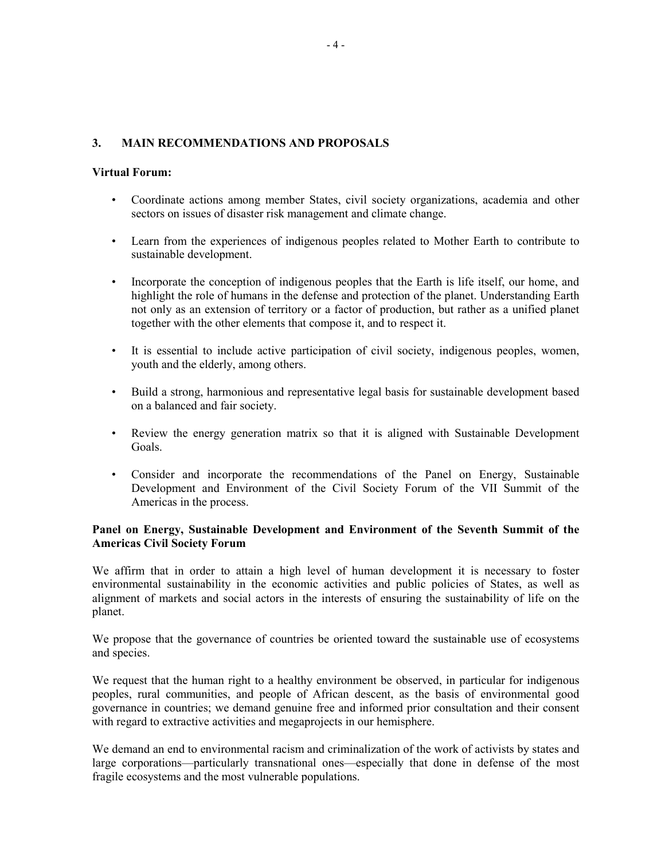# **3. MAIN RECOMMENDATIONS AND PROPOSALS**

#### **Virtual Forum:**

- Coordinate actions among member States, civil society organizations, academia and other sectors on issues of disaster risk management and climate change.
- Learn from the experiences of indigenous peoples related to Mother Earth to contribute to sustainable development.
- Incorporate the conception of indigenous peoples that the Earth is life itself, our home, and highlight the role of humans in the defense and protection of the planet. Understanding Earth not only as an extension of territory or a factor of production, but rather as a unified planet together with the other elements that compose it, and to respect it.
- It is essential to include active participation of civil society, indigenous peoples, women, youth and the elderly, among others.
- Build a strong, harmonious and representative legal basis for sustainable development based on a balanced and fair society.
- Review the energy generation matrix so that it is aligned with Sustainable Development Goals.
- Consider and incorporate the recommendations of the Panel on Energy, Sustainable Development and Environment of the Civil Society Forum of the VII Summit of the Americas in the process.

#### **Panel on Energy, Sustainable Development and Environment of the Seventh Summit of the Americas Civil Society Forum**

We affirm that in order to attain a high level of human development it is necessary to foster environmental sustainability in the economic activities and public policies of States, as well as alignment of markets and social actors in the interests of ensuring the sustainability of life on the planet.

We propose that the governance of countries be oriented toward the sustainable use of ecosystems and species.

We request that the human right to a healthy environment be observed, in particular for indigenous peoples, rural communities, and people of African descent, as the basis of environmental good governance in countries; we demand genuine free and informed prior consultation and their consent with regard to extractive activities and megaprojects in our hemisphere.

We demand an end to environmental racism and criminalization of the work of activists by states and large corporations—particularly transnational ones—especially that done in defense of the most fragile ecosystems and the most vulnerable populations.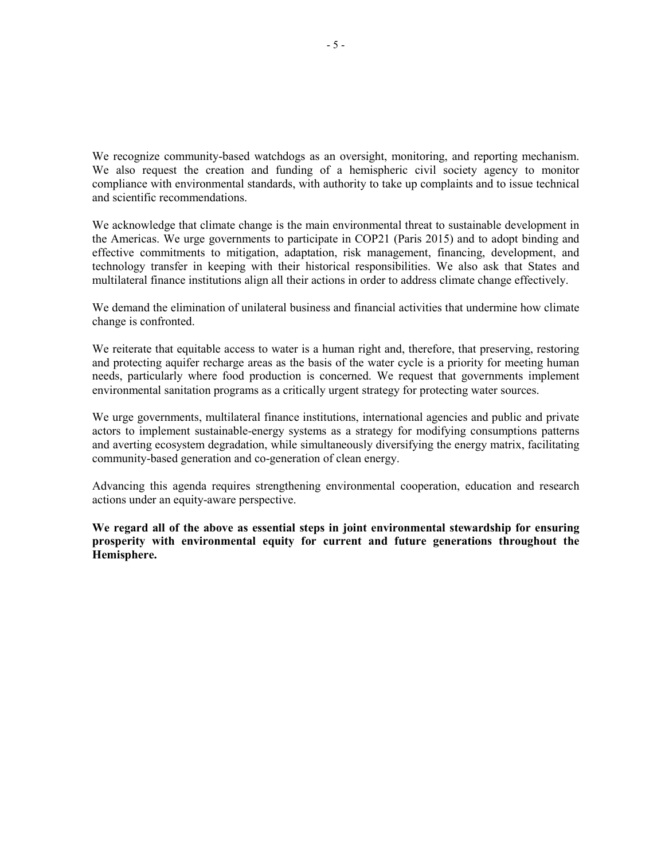We recognize community-based watchdogs as an oversight, monitoring, and reporting mechanism. We also request the creation and funding of a hemispheric civil society agency to monitor compliance with environmental standards, with authority to take up complaints and to issue technical and scientific recommendations.

We acknowledge that climate change is the main environmental threat to sustainable development in the Americas. We urge governments to participate in COP21 (Paris 2015) and to adopt binding and effective commitments to mitigation, adaptation, risk management, financing, development, and technology transfer in keeping with their historical responsibilities. We also ask that States and multilateral finance institutions align all their actions in order to address climate change effectively.

We demand the elimination of unilateral business and financial activities that undermine how climate change is confronted.

We reiterate that equitable access to water is a human right and, therefore, that preserving, restoring and protecting aquifer recharge areas as the basis of the water cycle is a priority for meeting human needs, particularly where food production is concerned. We request that governments implement environmental sanitation programs as a critically urgent strategy for protecting water sources.

We urge governments, multilateral finance institutions, international agencies and public and private actors to implement sustainable-energy systems as a strategy for modifying consumptions patterns and averting ecosystem degradation, while simultaneously diversifying the energy matrix, facilitating community-based generation and co-generation of clean energy.

Advancing this agenda requires strengthening environmental cooperation, education and research actions under an equity-aware perspective.

**We regard all of the above as essential steps in joint environmental stewardship for ensuring prosperity with environmental equity for current and future generations throughout the Hemisphere.**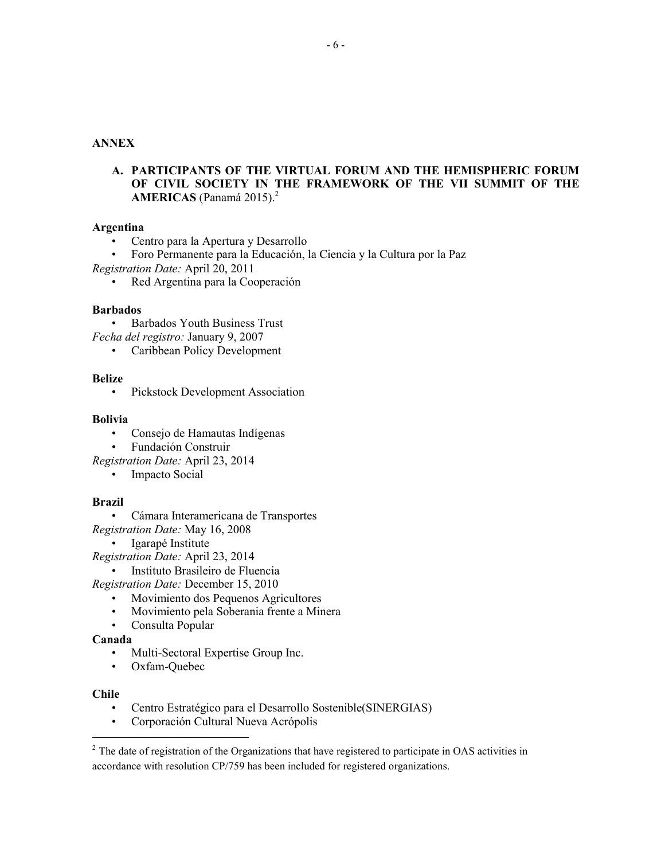# **ANNEX**

**A. PARTICIPANTS OF THE VIRTUAL FORUM AND THE HEMISPHERIC FORUM OF CIVIL SOCIETY IN THE FRAMEWORK OF THE VII SUMMIT OF THE AMERICAS** (Panamá 2015).<sup>2</sup>

# **Argentina**

- Centro para la Apertura y Desarrollo
- Foro Permanente para la Educación, la Ciencia y la Cultura por la Paz
- *Registration Date:* April 20, 2011
	- Red Argentina para la Cooperación

#### **Barbados**

- Barbados Youth Business Trust
- *Fecha del registro:* January 9, 2007
	- Caribbean Policy Development

#### **Belize**

• Pickstock Development Association

#### **Bolivia**

- Consejo de Hamautas Indígenas
- Fundación Construir
- *Registration Date:* April 23, 2014
	- Impacto Social

# **Brazil**

- Cámara Interamericana de Transportes
- *Registration Date:* May 16, 2008
	- Igarapé Institute
- *Registration Date:* April 23, 2014
	- Instituto Brasileiro de Fluencia
- *Registration Date:* December 15, 2010
	- Movimiento dos Pequenos Agricultores
	- Movimiento pela Soberania frente a Minera
	- Consulta Popular

#### **Canada**

- Multi-Sectoral Expertise Group Inc.
- Oxfam-Quebec

# **Chile**

 $\overline{a}$ 

- Centro Estratégico para el Desarrollo Sostenible(SINERGIAS)
- Corporación Cultural Nueva Acrópolis

<sup>&</sup>lt;sup>2</sup> The date of registration of the Organizations that have registered to participate in OAS activities in accordance with resolution CP/759 has been included for registered organizations.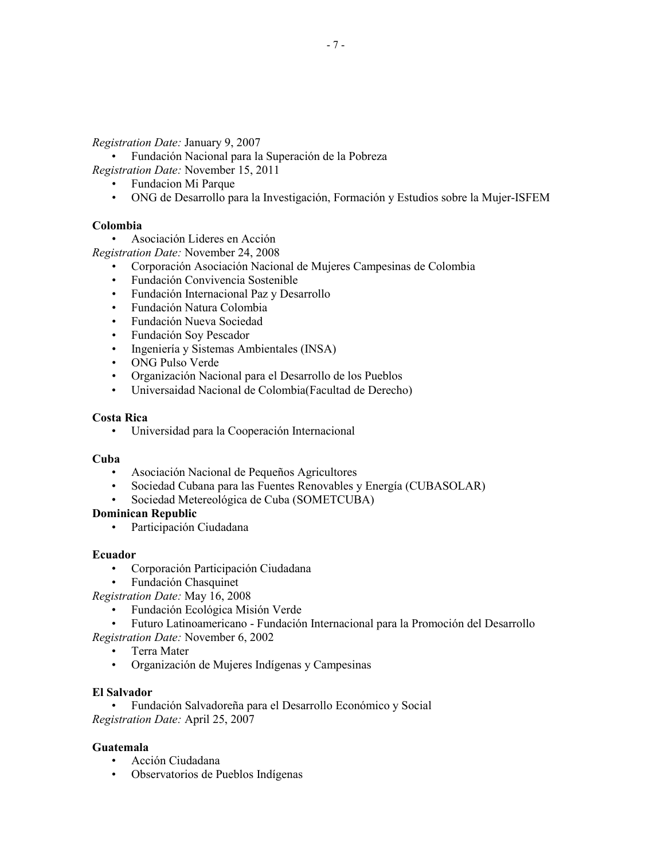*Registration Date:* January 9, 2007

• Fundación Nacional para la Superación de la Pobreza

*Registration Date:* November 15, 2011

- Fundacion Mi Parque
- ONG de Desarrollo para la Investigación, Formación y Estudios sobre la Mujer-ISFEM

# **Colombia**

• Asociación Lideres en Acción

*Registration Date:* November 24, 2008

- Corporación Asociación Nacional de Mujeres Campesinas de Colombia
- Fundación Convivencia Sostenible
- Fundación Internacional Paz y Desarrollo
- Fundación Natura Colombia
- Fundación Nueva Sociedad
- Fundación Soy Pescador
- Ingeniería y Sistemas Ambientales (INSA)
- ONG Pulso Verde
- Organización Nacional para el Desarrollo de los Pueblos
- Universaidad Nacional de Colombia(Facultad de Derecho)

# **Costa Rica**

• Universidad para la Cooperación Internacional

# **Cuba**

- Asociación Nacional de Pequeños Agricultores
- Sociedad Cubana para las Fuentes Renovables y Energía (CUBASOLAR)
- Sociedad Metereológica de Cuba (SOMETCUBA)

# **Dominican Republic**

• Participación Ciudadana

# **Ecuador**

- Corporación Participación Ciudadana
- Fundación Chasquinet

*Registration Date:* May 16, 2008

- Fundación Ecológica Misión Verde
- Futuro Latinoamericano Fundación Internacional para la Promoción del Desarrollo

*Registration Date:* November 6, 2002

- Terra Mater
- Organización de Mujeres Indígenas y Campesinas

# **El Salvador**

• Fundación Salvadoreña para el Desarrollo Económico y Social *Registration Date:* April 25, 2007

# **Guatemala**

- Acción Ciudadana
- Observatorios de Pueblos Indígenas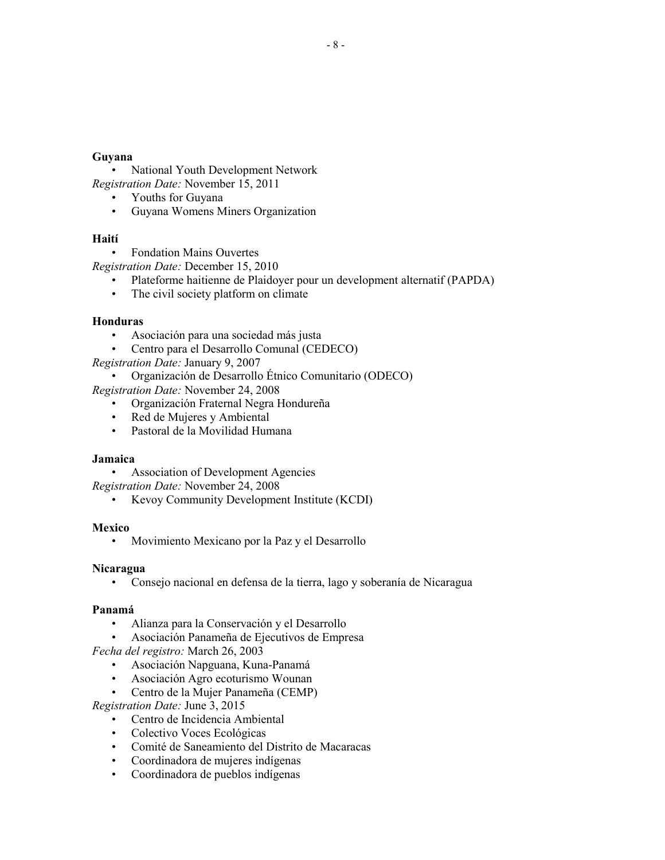#### **Guyana**

• National Youth Development Network *Registration Date:* November 15, 2011

- Youths for Guyana
- Guyana Womens Miners Organization

# **Haití**

• Fondation Mains Ouvertes

*Registration Date:* December 15, 2010

- Plateforme haitienne de Plaidoyer pour un development alternatif (PAPDA)
- The civil society platform on climate

# **Honduras**

- Asociación para una sociedad más justa
- Centro para el Desarrollo Comunal (CEDECO)
- *Registration Date:* January 9, 2007

• Organización de Desarrollo Étnico Comunitario (ODECO)

*Registration Date:* November 24, 2008

- Organización Fraternal Negra Hondureña
- Red de Mujeres y Ambiental
- Pastoral de la Movilidad Humana

# **Jamaica**

• Association of Development Agencies

*Registration Date:* November 24, 2008

• Kevoy Community Development Institute (KCDI)

# **Mexico**

• Movimiento Mexicano por la Paz y el Desarrollo

# **Nicaragua**

• Consejo nacional en defensa de la tierra, lago y soberanía de Nicaragua

# **Panamá**

- Alianza para la Conservación y el Desarrollo
- Asociación Panameña de Ejecutivos de Empresa

*Fecha del registro:* March 26, 2003

- Asociación Napguana, Kuna-Panamá
- Asociación Agro ecoturismo Wounan
- Centro de la Mujer Panameña (CEMP)

*Registration Date:* June 3, 2015

- Centro de Incidencia Ambiental
- Colectivo Voces Ecológicas
- Comité de Saneamiento del Distrito de Macaracas
- Coordinadora de mujeres indígenas
- Coordinadora de pueblos indígenas